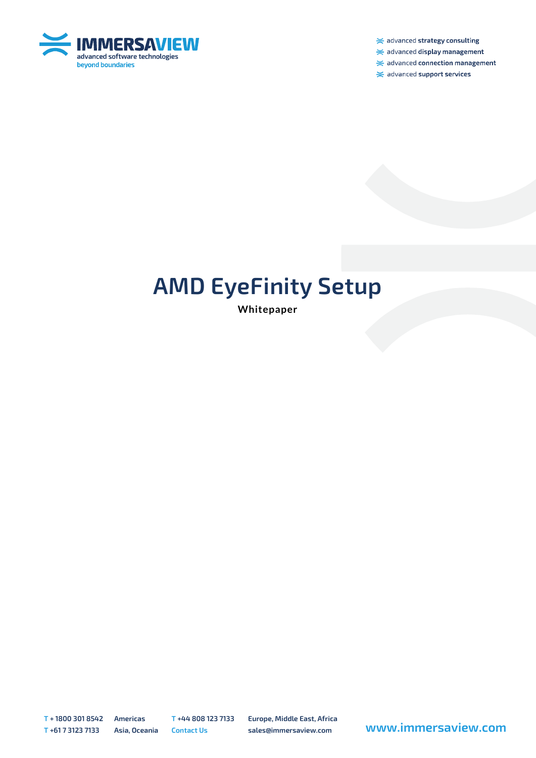

 $\ge$  advanced strategy consulting

 $\ge$  advanced display management

 $\ge$  advanced connection management

 $\ge$  advanced support services

# **AMD EyeFinity Setup**

**Whitepaper**

**T + 1800 301 8542 Americas T +44 808 123 7133 Europe, Middle East, Africa**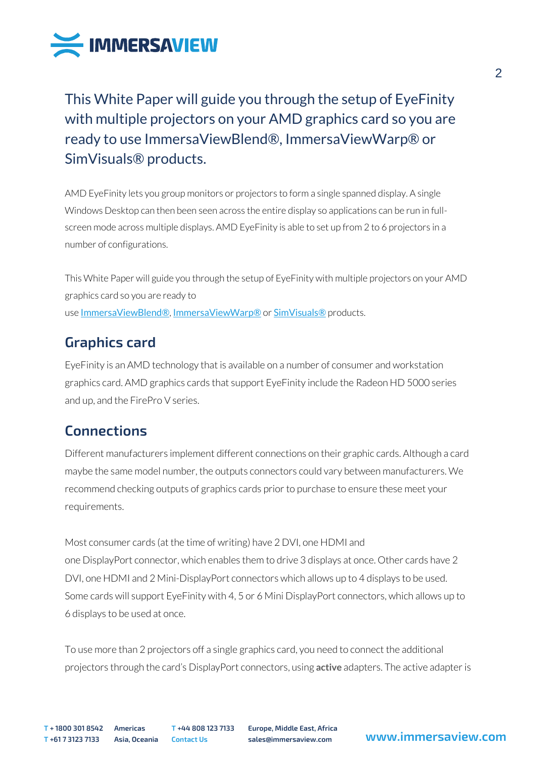

This White Paper will guide you through the setup of EyeFinity with multiple projectors on your AMD graphics card so you are ready to use ImmersaViewBlend®, ImmersaViewWarp® or SimVisuals® products.

AMD EyeFinity lets you group monitors or projectors to form a single spanned display. A single Windows Desktop can then been seen across the entire display so applications can be run in fullscreen mode across multiple displays. AMD EyeFinity is able to set up from 2 to 6 projectors in a number of configurations.

This White Paper will guide you through the setup of EyeFinity with multiple projectors on your AMD graphics card so you are ready to use [ImmersaViewBlend®](http://www.immersaview.com/products/blend), [ImmersaViewWarp®](http://www.immersaview.com/products/warp) or [SimVisuals®](http://www.immersaview.com/products/simvisuals) products.

# **Graphics card**

EyeFinity is an AMD technology that is available on a number of consumer and workstation graphics card. AMD graphics cards that support EyeFinity include the Radeon HD 5000 series and up, and the FirePro V series.

# **Connections**

Different manufacturers implement different connections on their graphic cards. Although a card maybe the same model number, the outputs connectors could vary between manufacturers. We recommend checking outputs of graphics cards prior to purchase to ensure these meet your requirements.

Most consumer cards (at the time of writing) have 2 DVI, one HDMI and one DisplayPort connector, which enables them to drive 3 displays at once. Other cards have 2 DVI, one HDMI and 2 Mini-DisplayPort connectors which allows up to 4 displays to be used. Some cards will support EyeFinity with 4, 5 or 6 Mini DisplayPort connectors, which allows up to 6 displays to be used at once.

To use more than 2 projectors off a single graphics card, you need to connect the additional projectors through the card's DisplayPort connectors, using **active** adapters. The active adapter is

**T + 1800 301 8542 Americas T +44 808 123 7133 Europe, Middle East, Africa**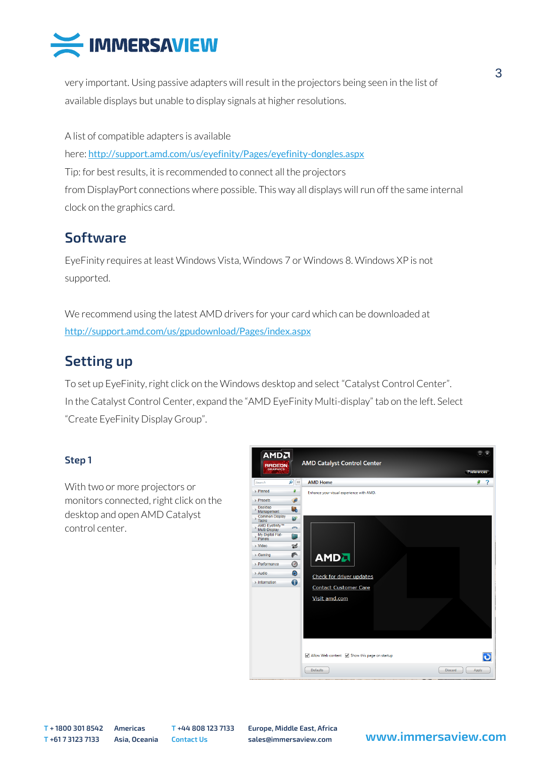

very important. Using passive adapters will result in the projectors being seen in the list of available displays but unable to display signals at higher resolutions.

A list of compatible adapters is available here: <http://support.amd.com/us/eyefinity/Pages/eyefinity-dongles.aspx> Tip: for best results, it is recommended to connect all the projectors from DisplayPort connections where possible. This way all displays will run off the same internal clock on the graphics card.

### **Software**

EyeFinity requires at least Windows Vista, Windows 7 or Windows 8. Windows XP is not supported.

We recommend using the latest AMD drivers for your card which can be downloaded at <http://support.amd.com/us/gpudownload/Pages/index.aspx>

## **Setting up**

To set up EyeFinity, right click on the Windows desktop and select "Catalyst Control Center". In the Catalyst Control Center, expand the "AMD EyeFinity Multi-display" tab on the left. Select "Create EyeFinity Display Group".

#### **Step 1**

With two or more projectors or monitors connected, right click on the desktop and open AMD Catalyst control center.



**T + 1800 301 8542 Americas T +44 808 123 7133 Europe, Middle East, Africa**

### **<sup>T</sup> +61 7 3123 7133 Asia, Oceania Contact Us sales@immersaview.com www.immersaview.com**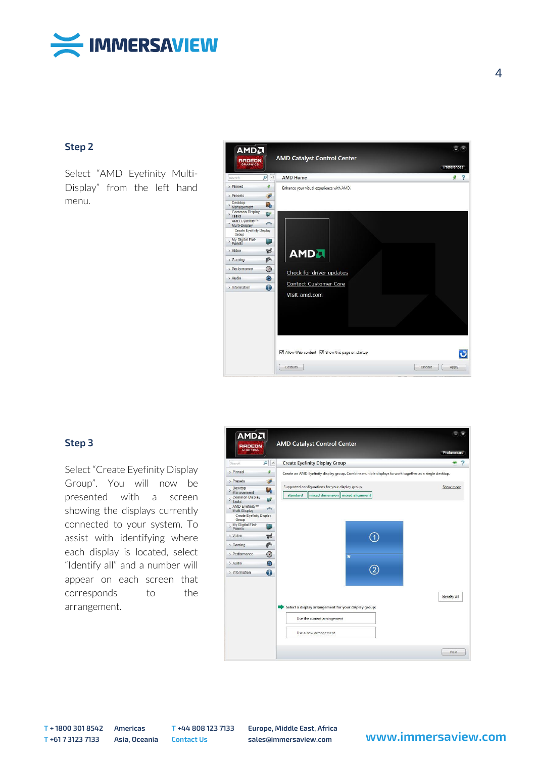

#### **Step 2**

Select "AMD Eyefinity Multi-Display" from the left hand menu.



#### **Step 3**

Select "Create Eyefinity Display Group". You will now be presented with a screen showing the displays currently connected to your system. To assist with identifying where each display is located, select "Identify all" and a number will appear on each screen that corresponds to the arrangement.



**T + 1800 301 8542 Americas T +44 808 123 7133 Europe, Middle East, Africa**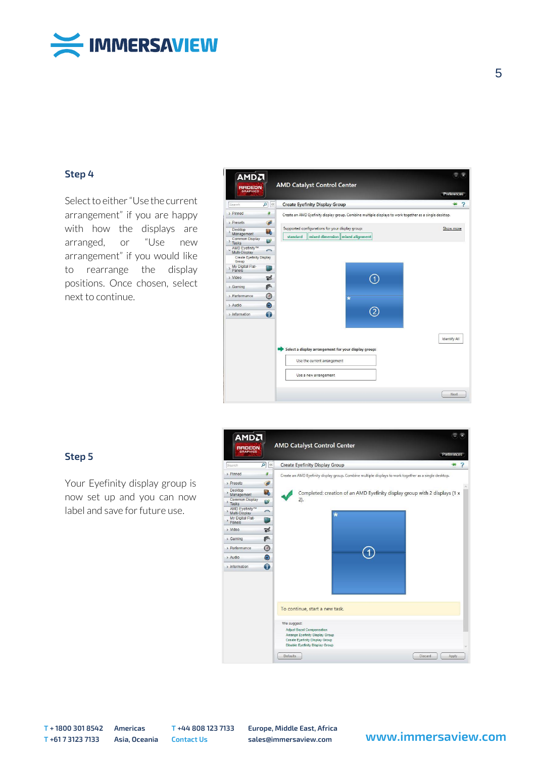

#### **Step 4**

Select to either "Use the current arrangement" if you are happy with how the displays are arranged, or "Use new arrangement" if you would like to rearrange the display positions. Once chosen, select next to continue.



#### **Step 5**

Your Eyefinity display group is now set up and you can now label and save for future use.



**T + 1800 301 8542 Americas T +44 808 123 7133 Europe, Middle East, Africa**

### **<sup>T</sup> +61 7 3123 7133 Asia, Oceania Contact Us sales@immersaview.com www.immersaview.com**